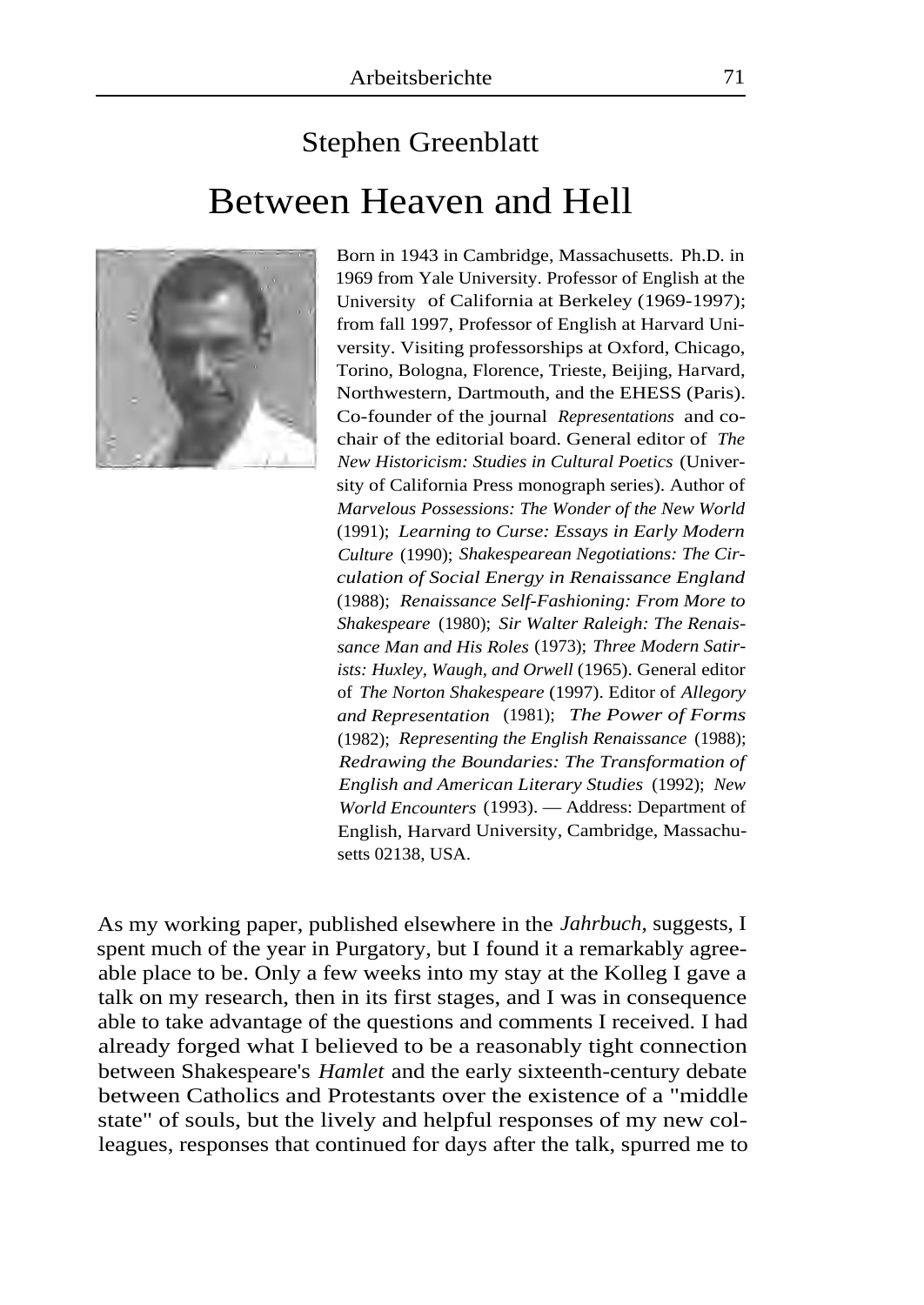## Stephen Greenblatt Between Heaven and Hell



Born in 1943 in Cambridge, Massachusetts. Ph.D. in 1969 from Yale University. Professor of English at the University of California at Berkeley (1969-1997); from fall 1997, Professor of English at Harvard University. Visiting professorships at Oxford, Chicago, Torino, Bologna, Florence, Trieste, Beijing, Harvard, Northwestern, Dartmouth, and the EHESS (Paris). Co-founder of the journal *Representations* and cochair of the editorial board. General editor of *The New Historicism: Studies in Cultural Poetics* (University of California Press monograph series). Author of *Marvelous Possessions: The Wonder of the New World*  (1991); *Learning to Curse: Essays in Early Modern Culture* (1990); *Shakespearean Negotiations: The Circulation of Social Energy in Renaissance England*  (1988); *Renaissance Self-Fashioning: From More to Shakespeare* (1980); *Sir Walter Raleigh: The Renaissance Man and His Roles* (1973); *Three Modern Satirists: Huxley, Waugh, and Orwell* (1965). General editor of *The Norton Shakespeare* (1997). Editor of *Allegory and Representation* (1981); *The Power of Forms*  (1982); *Representing the English Renaissance* (1988); *Redrawing the Boundaries: The Transformation of English and American Literary Studies* (1992); *New World Encounters* (1993). — Address: Department of English, Harvard University, Cambridge, Massachusetts 02138, USA.

As my working paper, published elsewhere in the *Jahrbuch,* suggests, I spent much of the year in Purgatory, but I found it a remarkably agreeable place to be. Only a few weeks into my stay at the Kolleg I gave a talk on my research, then in its first stages, and I was in consequence able to take advantage of the questions and comments I received. I had already forged what I believed to be a reasonably tight connection between Shakespeare's *Hamlet* and the early sixteenth-century debate between Catholics and Protestants over the existence of a "middle state" of souls, but the lively and helpful responses of my new colleagues, responses that continued for days after the talk, spurred me to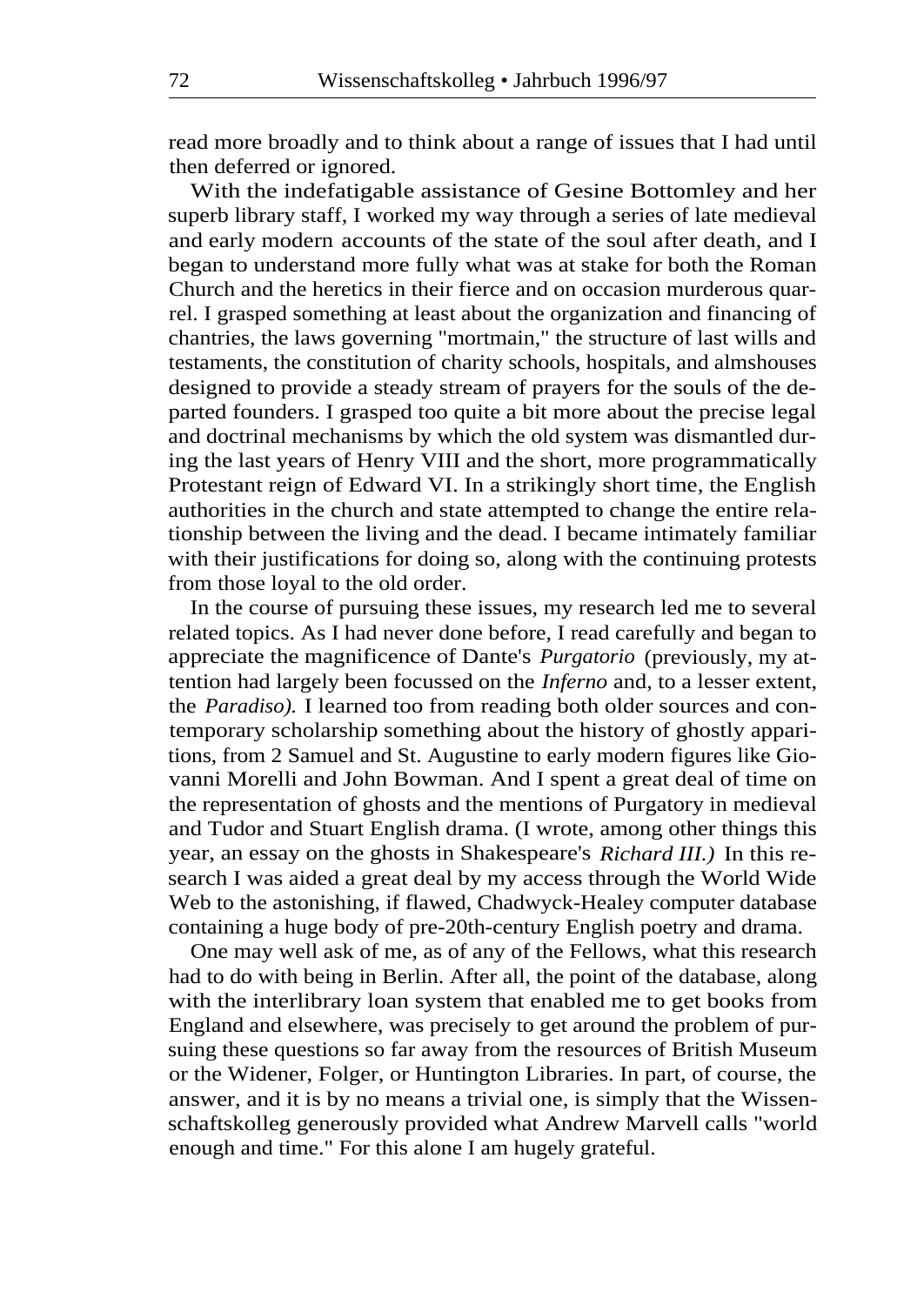read more broadly and to think about a range of issues that I had until then deferred or ignored.

With the indefatigable assistance of Gesine Bottomley and her superb library staff, I worked my way through a series of late medieval and early modern accounts of the state of the soul after death, and I began to understand more fully what was at stake for both the Roman Church and the heretics in their fierce and on occasion murderous quarrel. I grasped something at least about the organization and financing of chantries, the laws governing "mortmain," the structure of last wills and testaments, the constitution of charity schools, hospitals, and almshouses designed to provide a steady stream of prayers for the souls of the departed founders. I grasped too quite a bit more about the precise legal and doctrinal mechanisms by which the old system was dismantled during the last years of Henry VIII and the short, more programmatically Protestant reign of Edward VI. In a strikingly short time, the English authorities in the church and state attempted to change the entire relationship between the living and the dead. I became intimately familiar with their justifications for doing so, along with the continuing protests from those loyal to the old order.

In the course of pursuing these issues, my research led me to several related topics. As I had never done before, I read carefully and began to appreciate the magnificence of Dante's *Purgatorio* (previously, my attention had largely been focussed on the *Inferno* and, to a lesser extent, the *Paradiso).* I learned too from reading both older sources and contemporary scholarship something about the history of ghostly apparitions, from 2 Samuel and St. Augustine to early modern figures like Giovanni Morelli and John Bowman. And I spent a great deal of time on the representation of ghosts and the mentions of Purgatory in medieval and Tudor and Stuart English drama. (I wrote, among other things this year, an essay on the ghosts in Shakespeare's *Richard III.)* In this research I was aided a great deal by my access through the World Wide Web to the astonishing, if flawed, Chadwyck-Healey computer database containing a huge body of pre-20th-century English poetry and drama.

One may well ask of me, as of any of the Fellows, what this research had to do with being in Berlin. After all, the point of the database, along with the interlibrary loan system that enabled me to get books from England and elsewhere, was precisely to get around the problem of pursuing these questions so far away from the resources of British Museum or the Widener, Folger, or Huntington Libraries. In part, of course, the answer, and it is by no means a trivial one, is simply that the Wissenschaftskolleg generously provided what Andrew Marvell calls "world enough and time." For this alone I am hugely grateful.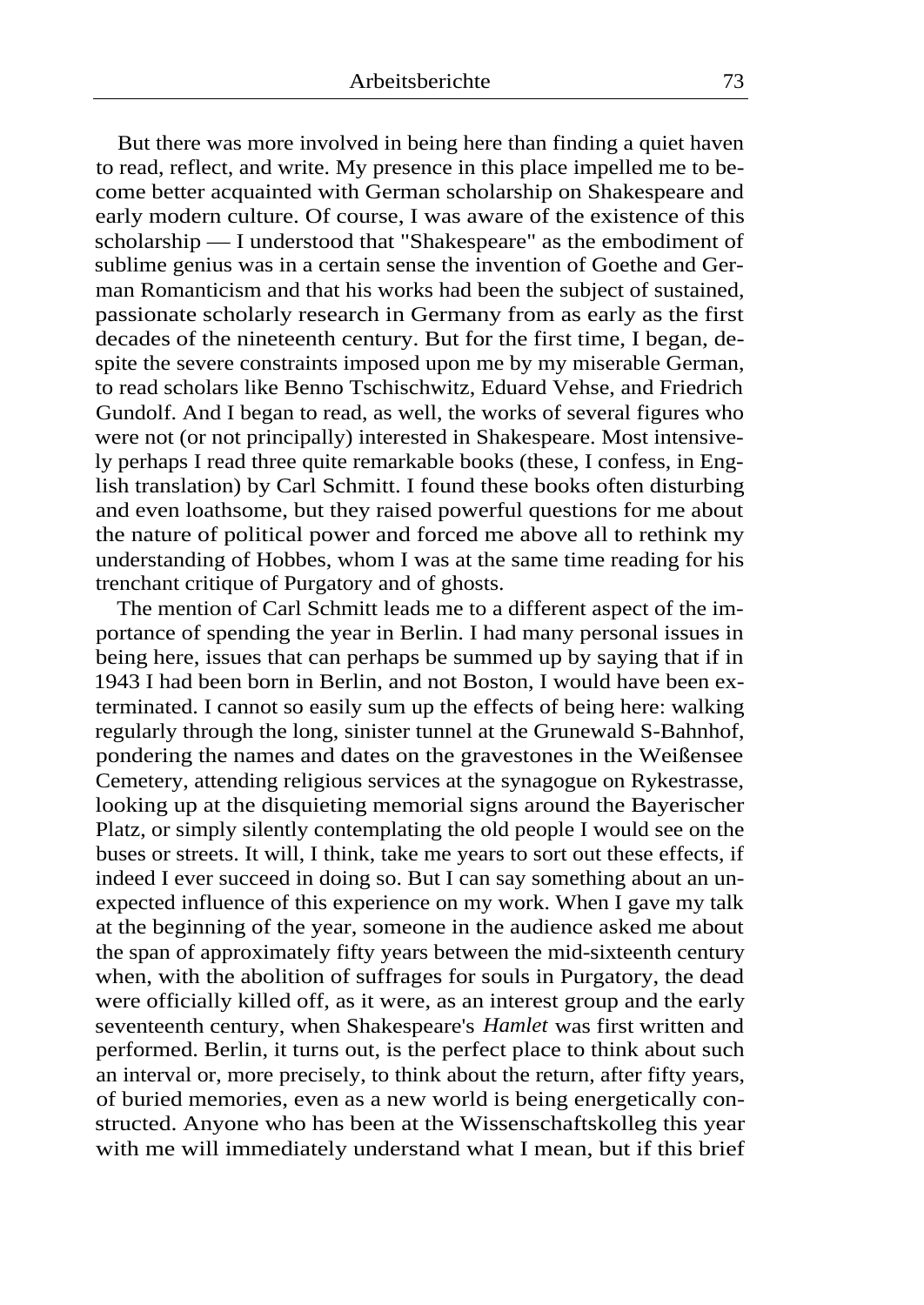But there was more involved in being here than finding a quiet haven to read, reflect, and write. My presence in this place impelled me to become better acquainted with German scholarship on Shakespeare and early modern culture. Of course, I was aware of the existence of this scholarship — I understood that "Shakespeare" as the embodiment of sublime genius was in a certain sense the invention of Goethe and German Romanticism and that his works had been the subject of sustained, passionate scholarly research in Germany from as early as the first decades of the nineteenth century. But for the first time, I began, despite the severe constraints imposed upon me by my miserable German, to read scholars like Benno Tschischwitz, Eduard Vehse, and Friedrich Gundolf. And I began to read, as well, the works of several figures who were not (or not principally) interested in Shakespeare. Most intensively perhaps I read three quite remarkable books (these, I confess, in English translation) by Carl Schmitt. I found these books often disturbing and even loathsome, but they raised powerful questions for me about the nature of political power and forced me above all to rethink my understanding of Hobbes, whom I was at the same time reading for his trenchant critique of Purgatory and of ghosts.

The mention of Carl Schmitt leads me to a different aspect of the importance of spending the year in Berlin. I had many personal issues in being here, issues that can perhaps be summed up by saying that if in 1943 I had been born in Berlin, and not Boston, I would have been exterminated. I cannot so easily sum up the effects of being here: walking regularly through the long, sinister tunnel at the Grunewald S-Bahnhof, pondering the names and dates on the gravestones in the Weißensee Cemetery, attending religious services at the synagogue on Rykestrasse, looking up at the disquieting memorial signs around the Bayerischer Platz, or simply silently contemplating the old people I would see on the buses or streets. It will, I think, take me years to sort out these effects, if indeed I ever succeed in doing so. But I can say something about an unexpected influence of this experience on my work. When I gave my talk at the beginning of the year, someone in the audience asked me about the span of approximately fifty years between the mid-sixteenth century when, with the abolition of suffrages for souls in Purgatory, the dead were officially killed off, as it were, as an interest group and the early seventeenth century, when Shakespeare's *Hamlet* was first written and performed. Berlin, it turns out, is the perfect place to think about such an interval or, more precisely, to think about the return, after fifty years, of buried memories, even as a new world is being energetically constructed. Anyone who has been at the Wissenschaftskolleg this year with me will immediately understand what I mean, but if this brief